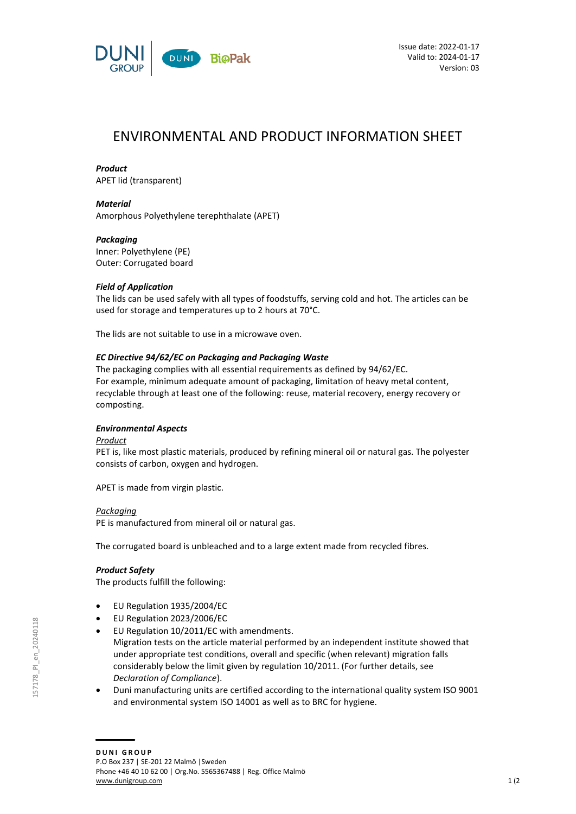

# ENVIRONMENTAL AND PRODUCT INFORMATION SHEET

## *Product*

APET lid (transparent)

## *Material*

Amorphous Polyethylene terephthalate (APET)

## *Packaging*

Inner: Polyethylene (PE) Outer: Corrugated board

# *Field of Application*

The lids can be used safely with all types of foodstuffs, serving cold and hot. The articles can be used for storage and temperatures up to 2 hours at 70°C.

The lids are not suitable to use in a microwave oven.

# *EC Directive 94/62/EC on Packaging and Packaging Waste*

The packaging complies with all essential requirements as defined by 94/62/EC. For example, minimum adequate amount of packaging, limitation of heavy metal content, recyclable through at least one of the following: reuse, material recovery, energy recovery or composting.

## *Environmental Aspects*

## *Product*

PET is, like most plastic materials, produced by refining mineral oil or natural gas. The polyester consists of carbon, oxygen and hydrogen.

APET is made from virgin plastic.

## *Packaging*

PE is manufactured from mineral oil or natural gas.

The corrugated board is unbleached and to a large extent made from recycled fibres.

## *Product Safety*

The products fulfill the following:

- EU Regulation 1935/2004/EC
- EU Regulation 2023/2006/EC
- EU Regulation 10/2011/EC with amendments. Migration tests on the article material performed by an independent institute showed that under appropriate test conditions, overall and specific (when relevant) migration falls considerably below the limit given by regulation 10/2011. (For further details, see *Declaration of Compliance*).
- Duni manufacturing units are certified according to the international quality system ISO 9001 and environmental system ISO 14001 as well as to BRC for hygiene.